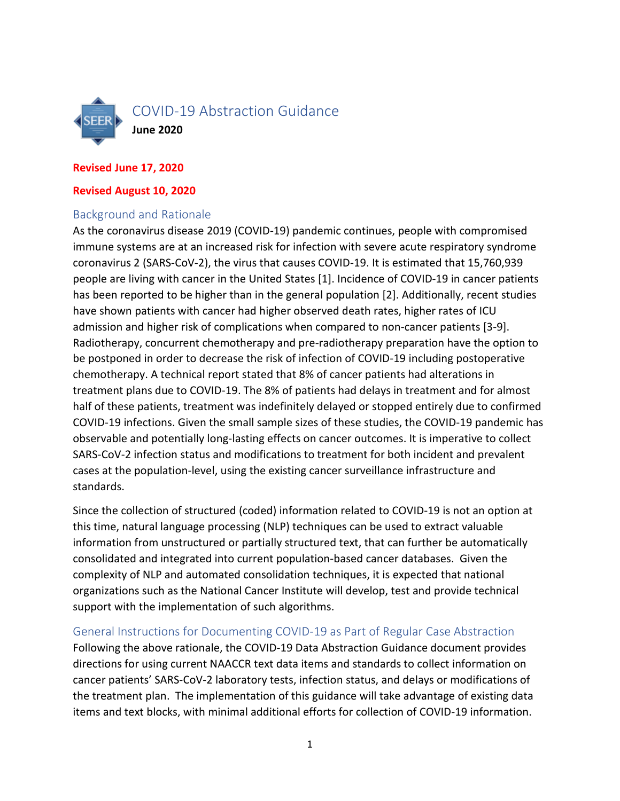

#### **Revised June 17, 2020**

#### **Revised August 10, 2020**

### Background and Rationale

As the coronavirus disease 2019 (COVID-19) pandemic continues, people with compromised immune systems are at an increased risk for infection with severe acute respiratory syndrome coronavirus 2 (SARS-CoV-2), the virus that causes COVID-19. It is estimated that 15,760,939 people are living with cancer in the United States [1]. Incidence of COVID-19 in cancer patients has been reported to be higher than in the general population [2]. Additionally, recent studies have shown patients with cancer had higher observed death rates, higher rates of ICU admission and higher risk of complications when compared to non-cancer patients [3-9]. Radiotherapy, concurrent chemotherapy and pre-radiotherapy preparation have the option to be postponed in order to decrease the risk of infection of COVID-19 including postoperative chemotherapy. A technical report stated that 8% of cancer patients had alterations in treatment plans due to COVID-19. The 8% of patients had delays in treatment and for almost half of these patients, treatment was indefinitely delayed or stopped entirely due to confirmed COVID-19 infections. Given the small sample sizes of these studies, the COVID-19 pandemic has observable and potentially long-lasting effects on cancer outcomes. It is imperative to collect SARS-CoV-2 infection status and modifications to treatment for both incident and prevalent cases at the population-level, using the existing cancer surveillance infrastructure and standards.

Since the collection of structured (coded) information related to COVID-19 is not an option at this time, natural language processing (NLP) techniques can be used to extract valuable information from unstructured or partially structured text, that can further be automatically consolidated and integrated into current population-based cancer databases. Given the complexity of NLP and automated consolidation techniques, it is expected that national organizations such as the National Cancer Institute will develop, test and provide technical support with the implementation of such algorithms.

General Instructions for Documenting COVID-19 as Part of Regular Case Abstraction Following the above rationale, the COVID-19 Data Abstraction Guidance document provides directions for using current NAACCR text data items and standards to collect information on cancer patients' SARS-CoV-2 laboratory tests, infection status, and delays or modifications of the treatment plan. The implementation of this guidance will take advantage of existing data items and text blocks, with minimal additional efforts for collection of COVID-19 information.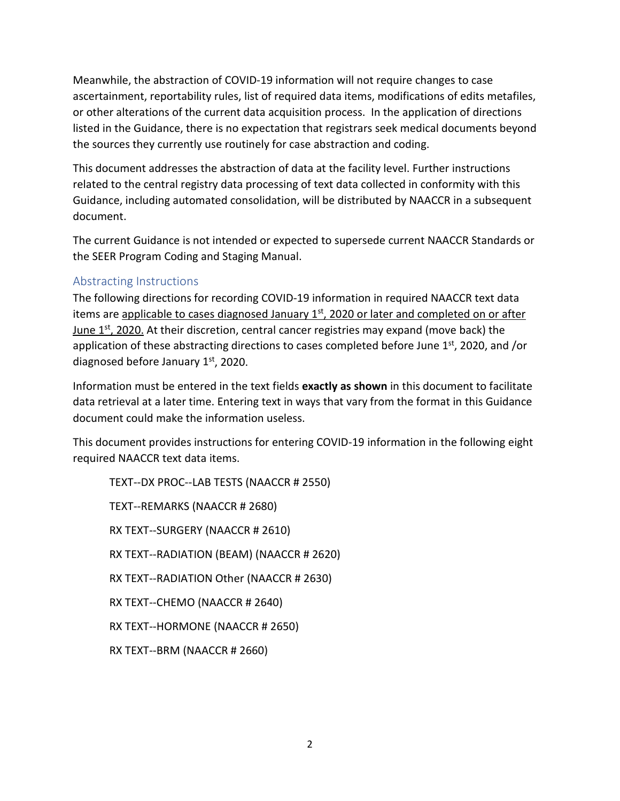Meanwhile, the abstraction of COVID-19 information will not require changes to case ascertainment, reportability rules, list of required data items, modifications of edits metafiles, or other alterations of the current data acquisition process. In the application of directions listed in the Guidance, there is no expectation that registrars seek medical documents beyond the sources they currently use routinely for case abstraction and coding.

This document addresses the abstraction of data at the facility level. Further instructions related to the central registry data processing of text data collected in conformity with this Guidance, including automated consolidation, will be distributed by NAACCR in a subsequent document.

The current Guidance is not intended or expected to supersede current NAACCR Standards or the SEER Program Coding and Staging Manual.

# Abstracting Instructions

The following directions for recording COVID-19 information in required NAACCR text data items are applicable to cases diagnosed January  $1<sup>st</sup>$ , 2020 or later and completed on or after June  $1<sup>st</sup>$ , 2020. At their discretion, central cancer registries may expand (move back) the application of these abstracting directions to cases completed before June  $1<sup>st</sup>$ , 2020, and /or diagnosed before January 1<sup>st</sup>, 2020.

Information must be entered in the text fields **exactly as shown** in this document to facilitate data retrieval at a later time. Entering text in ways that vary from the format in this Guidance document could make the information useless.

This document provides instructions for entering COVID-19 information in the following eight required NAACCR text data items.

TEXT--DX PROC--LAB TESTS (NAACCR # 2550) TEXT--REMARKS (NAACCR # 2680) RX TEXT--SURGERY (NAACCR # 2610) RX TEXT--RADIATION (BEAM) (NAACCR # 2620) RX TEXT--RADIATION Other (NAACCR # 2630) RX TEXT--CHEMO (NAACCR # 2640) RX TEXT--HORMONE (NAACCR # 2650) RX TEXT--BRM (NAACCR # 2660)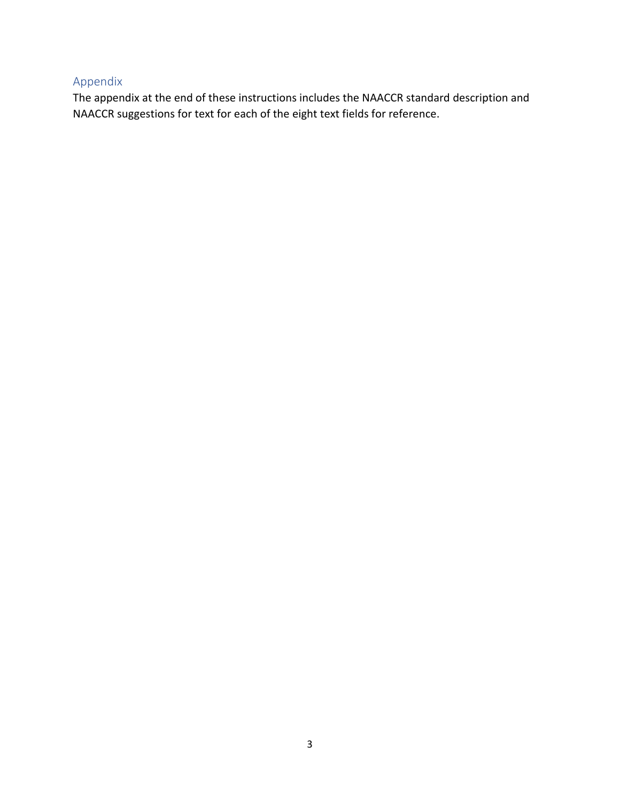# Appendix

The appendix at the end of these instructions includes the NAACCR standard description and NAACCR suggestions for text for each of the eight text fields for reference.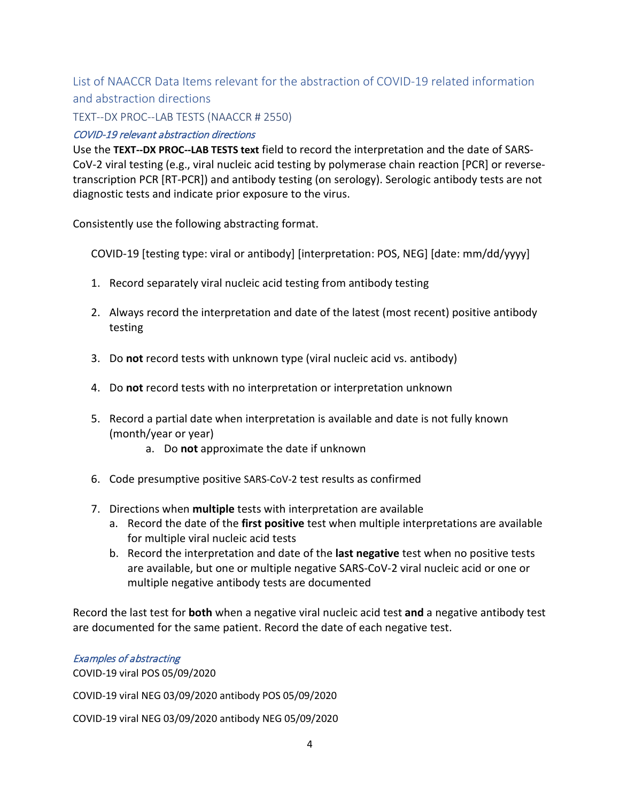List of NAACCR Data Items relevant for the abstraction of COVID-19 related information and abstraction directions

TEXT--DX PROC--LAB TESTS (NAACCR # 2550)

# COVID-19 relevant abstraction directions

Use the **TEXT--DX PROC--LAB TESTS text** field to record the interpretation and the date of SARS-CoV-2 viral testing (e.g., viral nucleic acid testing by polymerase chain reaction [PCR] or reversetranscription PCR [RT-PCR]) and antibody testing (on serology). Serologic antibody tests are not diagnostic tests and indicate prior exposure to the virus.

Consistently use the following abstracting format.

COVID-19 [testing type: viral or antibody] [interpretation: POS, NEG] [date: mm/dd/yyyy]

- 1. Record separately viral nucleic acid testing from antibody testing
- 2. Always record the interpretation and date of the latest (most recent) positive antibody testing
- 3. Do **not** record tests with unknown type (viral nucleic acid vs. antibody)
- 4. Do **not** record tests with no interpretation or interpretation unknown
- 5. Record a partial date when interpretation is available and date is not fully known (month/year or year)
	- a. Do **not** approximate the date if unknown
- 6. Code presumptive positive SARS-CoV-2 test results as confirmed
- 7. Directions when **multiple** tests with interpretation are available
	- a. Record the date of the **first positive** test when multiple interpretations are available for multiple viral nucleic acid tests
	- b. Record the interpretation and date of the **last negative** test when no positive tests are available, but one or multiple negative SARS-CoV-2 viral nucleic acid or one or multiple negative antibody tests are documented

Record the last test for **both** when a negative viral nucleic acid test **and** a negative antibody test are documented for the same patient. Record the date of each negative test.

### Examples of abstracting

COVID-19 viral POS 05/09/2020

COVID-19 viral NEG 03/09/2020 antibody POS 05/09/2020

COVID-19 viral NEG 03/09/2020 antibody NEG 05/09/2020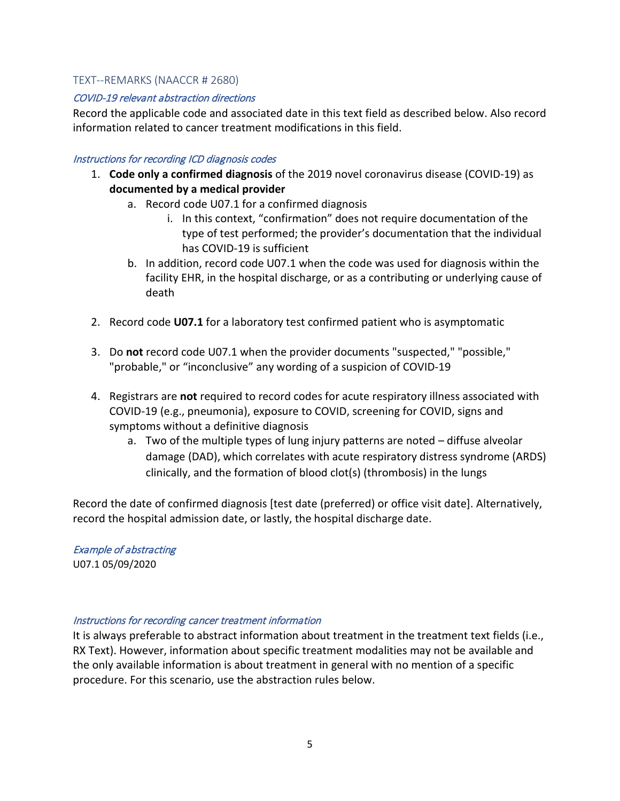#### TEXT--REMARKS (NAACCR # 2680)

#### COVID-19 relevant abstraction directions

Record the applicable code and associated date in this text field as described below. Also record information related to cancer treatment modifications in this field.

#### Instructions for recording ICD diagnosis codes

- 1. **Code only a confirmed diagnosis** of the 2019 novel coronavirus disease (COVID-19) as **documented by a medical provider**
	- a. Record code U07.1 for a confirmed diagnosis
		- i. In this context, "confirmation" does not require documentation of the type of test performed; the provider's documentation that the individual has COVID-19 is sufficient
	- b. In addition, record code U07.1 when the code was used for diagnosis within the facility EHR, in the hospital discharge, or as a contributing or underlying cause of death
- 2. Record code **U07.1** for a laboratory test confirmed patient who is asymptomatic
- 3. Do **not** record code U07.1 when the provider documents "suspected," "possible," "probable," or "inconclusive" any wording of a suspicion of COVID-19
- 4. Registrars are **not** required to record codes for acute respiratory illness associated with COVID-19 (e.g., pneumonia), exposure to COVID, screening for COVID, signs and symptoms without a definitive diagnosis
	- a. Two of the multiple types of lung injury patterns are noted diffuse alveolar damage (DAD), which correlates with acute respiratory distress syndrome (ARDS) clinically, and the formation of blood clot(s) (thrombosis) in the lungs

Record the date of confirmed diagnosis [test date (preferred) or office visit date]. Alternatively, record the hospital admission date, or lastly, the hospital discharge date.

Example of abstracting U07.1 05/09/2020

#### Instructions for recording cancer treatment information

It is always preferable to abstract information about treatment in the treatment text fields (i.e., RX Text). However, information about specific treatment modalities may not be available and the only available information is about treatment in general with no mention of a specific procedure. For this scenario, use the abstraction rules below.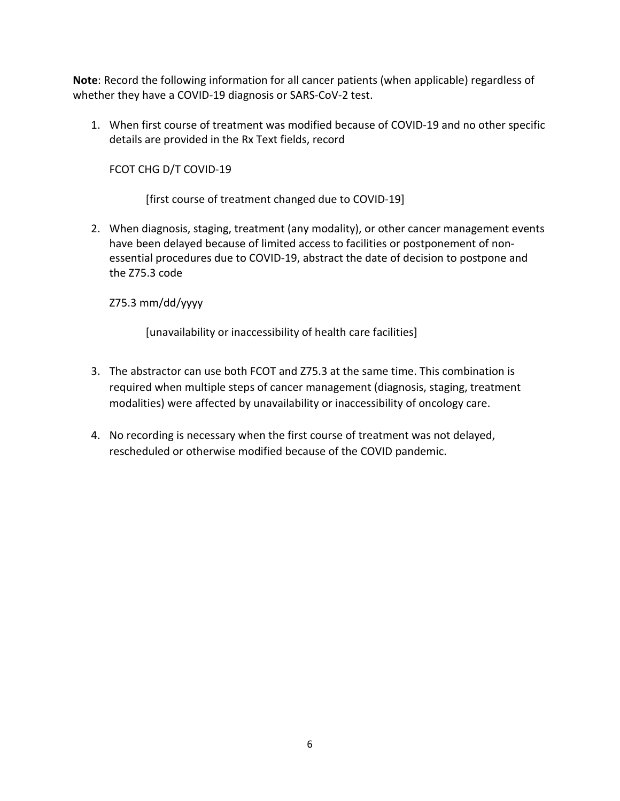**Note**: Record the following information for all cancer patients (when applicable) regardless of whether they have a COVID-19 diagnosis or SARS-CoV-2 test.

1. When first course of treatment was modified because of COVID-19 and no other specific details are provided in the Rx Text fields, record

FCOT CHG D/T COVID-19

[first course of treatment changed due to COVID-19]

2. When diagnosis, staging, treatment (any modality), or other cancer management events have been delayed because of limited access to facilities or postponement of nonessential procedures due to COVID-19, abstract the date of decision to postpone and the Z75.3 code

Z75.3 mm/dd/yyyy

[unavailability or inaccessibility of health care facilities]

- 3. The abstractor can use both FCOT and Z75.3 at the same time. This combination is required when multiple steps of cancer management (diagnosis, staging, treatment modalities) were affected by unavailability or inaccessibility of oncology care.
- 4. No recording is necessary when the first course of treatment was not delayed, rescheduled or otherwise modified because of the COVID pandemic.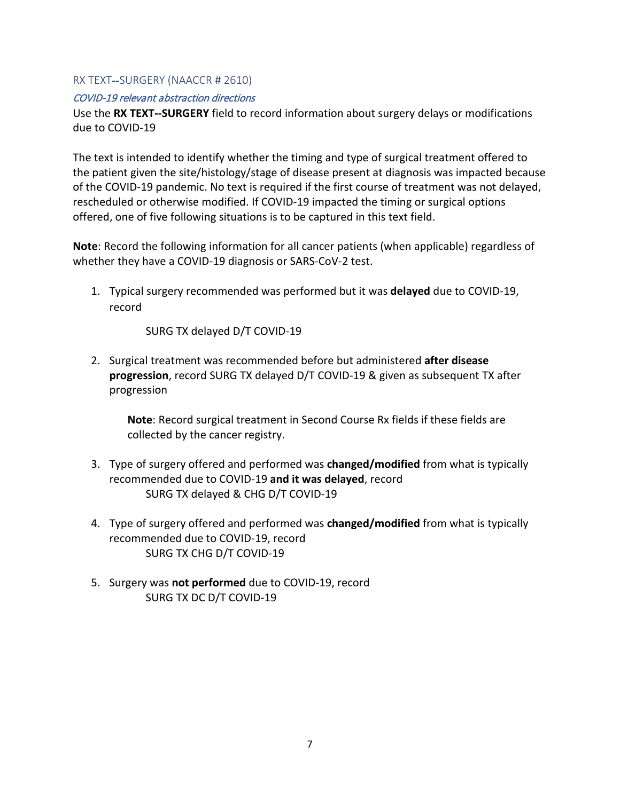### RX TEXT--SURGERY (NAACCR # 2610)

#### COVID-19 relevant abstraction directions

Use the **RX TEXT--SURGERY** field to record information about surgery delays or modifications due to COVID-19

The text is intended to identify whether the timing and type of surgical treatment offered to the patient given the site/histology/stage of disease present at diagnosis was impacted because of the COVID-19 pandemic. No text is required if the first course of treatment was not delayed, rescheduled or otherwise modified. If COVID-19 impacted the timing or surgical options offered, one of five following situations is to be captured in this text field.

**Note**: Record the following information for all cancer patients (when applicable) regardless of whether they have a COVID-19 diagnosis or SARS-CoV-2 test.

1. Typical surgery recommended was performed but it was **delayed** due to COVID-19, record

SURG TX delayed D/T COVID-19

2. Surgical treatment was recommended before but administered **after disease progression**, record SURG TX delayed D/T COVID-19 & given as subsequent TX after progression

**Note**: Record surgical treatment in Second Course Rx fields if these fields are collected by the cancer registry.

- 3. Type of surgery offered and performed was **changed/modified** from what is typically recommended due to COVID-19 **and it was delayed**, record SURG TX delayed & CHG D/T COVID-19
- 4. Type of surgery offered and performed was **changed/modified** from what is typically recommended due to COVID-19, record SURG TX CHG D/T COVID-19
- 5. Surgery was **not performed** due to COVID-19, record SURG TX DC D/T COVID-19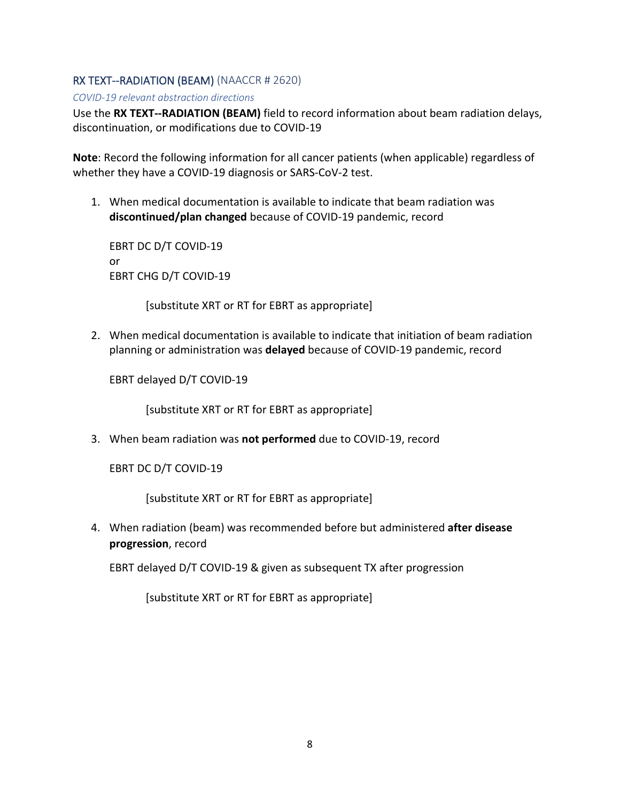# RX TEXT--RADIATION (BEAM) (NAACCR # 2620)

*COVID-19 relevant abstraction directions*

Use the **RX TEXT--RADIATION (BEAM)** field to record information about beam radiation delays, discontinuation, or modifications due to COVID-19

**Note**: Record the following information for all cancer patients (when applicable) regardless of whether they have a COVID-19 diagnosis or SARS-CoV-2 test.

1. When medical documentation is available to indicate that beam radiation was **discontinued/plan changed** because of COVID-19 pandemic, record

EBRT DC D/T COVID-19 or EBRT CHG D/T COVID-19

[substitute XRT or RT for EBRT as appropriate]

2. When medical documentation is available to indicate that initiation of beam radiation planning or administration was **delayed** because of COVID-19 pandemic, record

EBRT delayed D/T COVID-19

[substitute XRT or RT for EBRT as appropriate]

3. When beam radiation was **not performed** due to COVID-19, record

EBRT DC D/T COVID-19

[substitute XRT or RT for EBRT as appropriate]

4. When radiation (beam) was recommended before but administered **after disease progression**, record

EBRT delayed D/T COVID-19 & given as subsequent TX after progression

[substitute XRT or RT for EBRT as appropriate]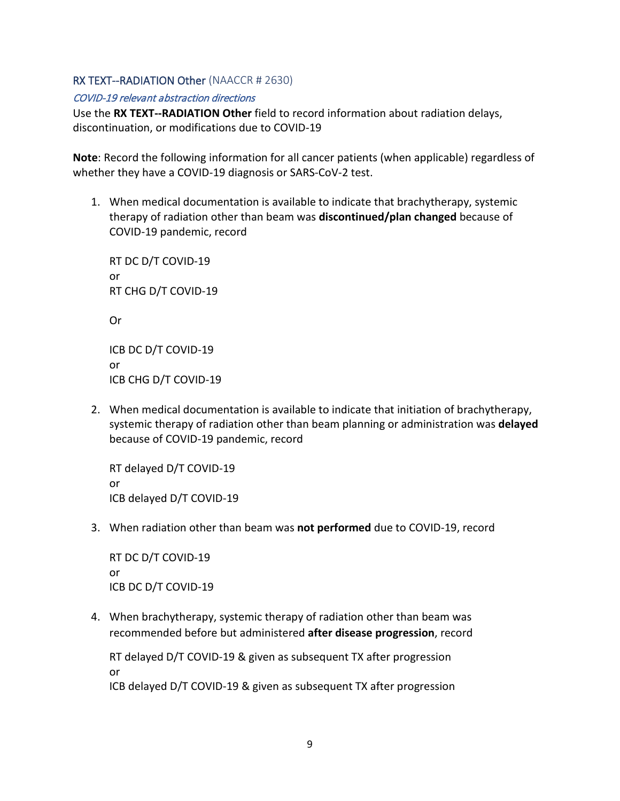# RX TEXT--RADIATION Other (NAACCR # 2630)

#### COVID-19 relevant abstraction directions

Use the **RX TEXT--RADIATION Other** field to record information about radiation delays, discontinuation, or modifications due to COVID-19

**Note**: Record the following information for all cancer patients (when applicable) regardless of whether they have a COVID-19 diagnosis or SARS-CoV-2 test.

1. When medical documentation is available to indicate that brachytherapy, systemic therapy of radiation other than beam was **discontinued/plan changed** because of COVID-19 pandemic, record

RT DC D/T COVID-19 or RT CHG D/T COVID-19

Or

ICB DC D/T COVID-19 or ICB CHG D/T COVID-19

2. When medical documentation is available to indicate that initiation of brachytherapy, systemic therapy of radiation other than beam planning or administration was **delayed** because of COVID-19 pandemic, record

RT delayed D/T COVID-19 or ICB delayed D/T COVID-19

3. When radiation other than beam was **not performed** due to COVID-19, record

RT DC D/T COVID-19 or ICB DC D/T COVID-19

4. When brachytherapy, systemic therapy of radiation other than beam was recommended before but administered **after disease progression**, record

RT delayed D/T COVID-19 & given as subsequent TX after progression or ICB delayed D/T COVID-19 & given as subsequent TX after progression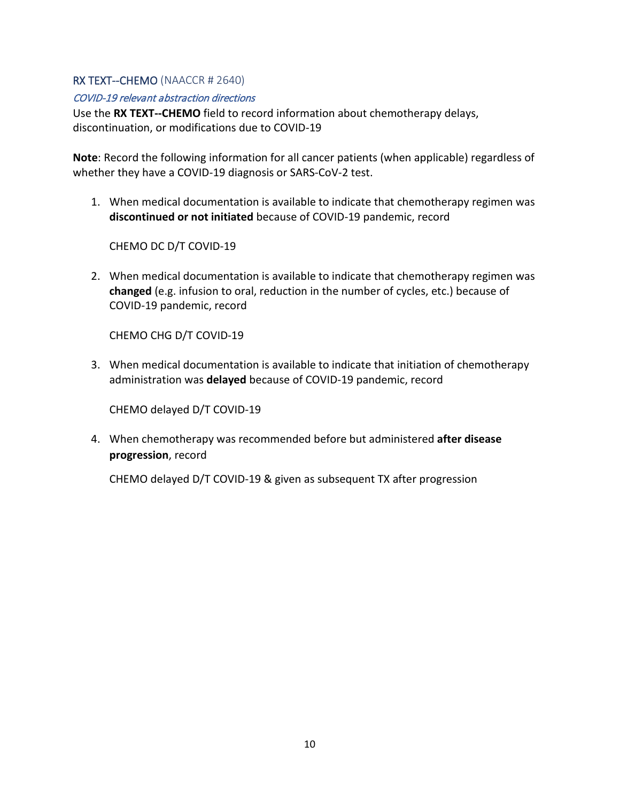# RX TEXT--CHEMO (NAACCR # 2640)

### COVID-19 relevant abstraction directions

Use the **RX TEXT--CHEMO** field to record information about chemotherapy delays, discontinuation, or modifications due to COVID-19

**Note**: Record the following information for all cancer patients (when applicable) regardless of whether they have a COVID-19 diagnosis or SARS-CoV-2 test.

1. When medical documentation is available to indicate that chemotherapy regimen was **discontinued or not initiated** because of COVID-19 pandemic, record

CHEMO DC D/T COVID-19

2. When medical documentation is available to indicate that chemotherapy regimen was **changed** (e.g. infusion to oral, reduction in the number of cycles, etc.) because of COVID-19 pandemic, record

CHEMO CHG D/T COVID-19

3. When medical documentation is available to indicate that initiation of chemotherapy administration was **delayed** because of COVID-19 pandemic, record

CHEMO delayed D/T COVID-19

4. When chemotherapy was recommended before but administered **after disease progression**, record

CHEMO delayed D/T COVID-19 & given as subsequent TX after progression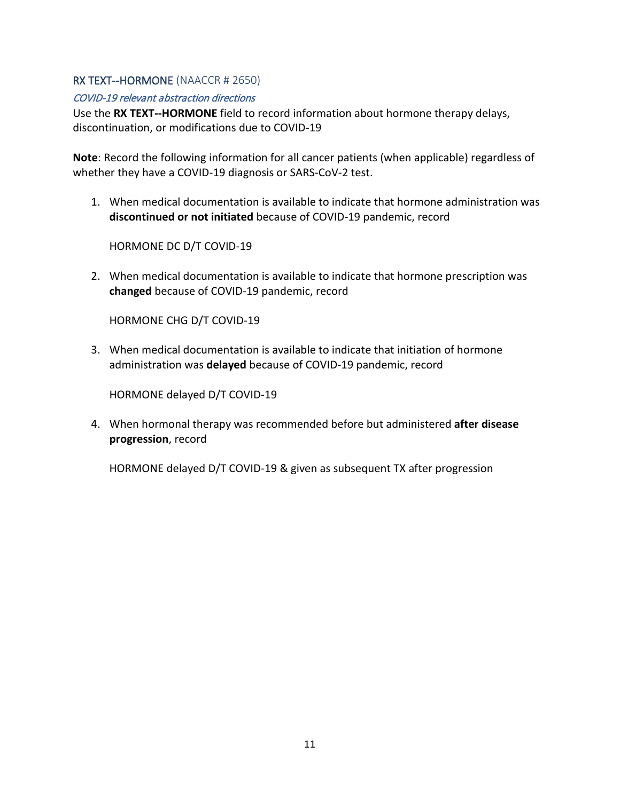# RX TEXT--HORMONE (NAACCR # 2650)

#### COVID-19 relevant abstraction directions

Use the **RX TEXT--HORMONE** field to record information about hormone therapy delays, discontinuation, or modifications due to COVID-19

**Note**: Record the following information for all cancer patients (when applicable) regardless of whether they have a COVID-19 diagnosis or SARS-CoV-2 test.

1. When medical documentation is available to indicate that hormone administration was **discontinued or not initiated** because of COVID-19 pandemic, record

HORMONE DC D/T COVID-19

2. When medical documentation is available to indicate that hormone prescription was **changed** because of COVID-19 pandemic, record

HORMONE CHG D/T COVID-19

3. When medical documentation is available to indicate that initiation of hormone administration was **delayed** because of COVID-19 pandemic, record

HORMONE delayed D/T COVID-19

4. When hormonal therapy was recommended before but administered **after disease progression**, record

HORMONE delayed D/T COVID-19 & given as subsequent TX after progression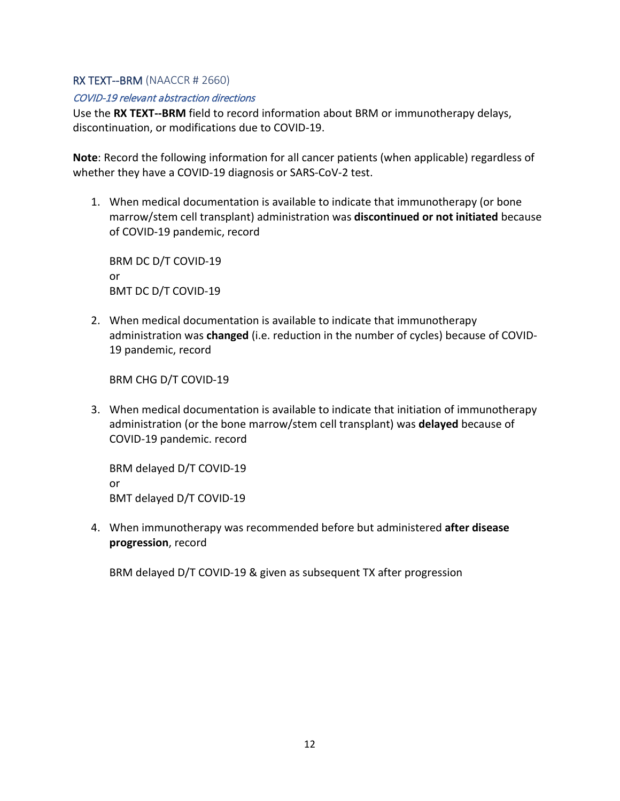### RX TEXT--BRM (NAACCR # 2660)

#### COVID-19 relevant abstraction directions

Use the **RX TEXT--BRM** field to record information about BRM or immunotherapy delays, discontinuation, or modifications due to COVID-19.

**Note**: Record the following information for all cancer patients (when applicable) regardless of whether they have a COVID-19 diagnosis or SARS-CoV-2 test.

1. When medical documentation is available to indicate that immunotherapy (or bone marrow/stem cell transplant) administration was **discontinued or not initiated** because of COVID-19 pandemic, record

BRM DC D/T COVID-19 or BMT DC D/T COVID-19

2. When medical documentation is available to indicate that immunotherapy administration was **changed** (i.e. reduction in the number of cycles) because of COVID-19 pandemic, record

BRM CHG D/T COVID-19

3. When medical documentation is available to indicate that initiation of immunotherapy administration (or the bone marrow/stem cell transplant) was **delayed** because of COVID-19 pandemic. record

BRM delayed D/T COVID-19 or BMT delayed D/T COVID-19

4. When immunotherapy was recommended before but administered **after disease progression**, record

BRM delayed D/T COVID-19 & given as subsequent TX after progression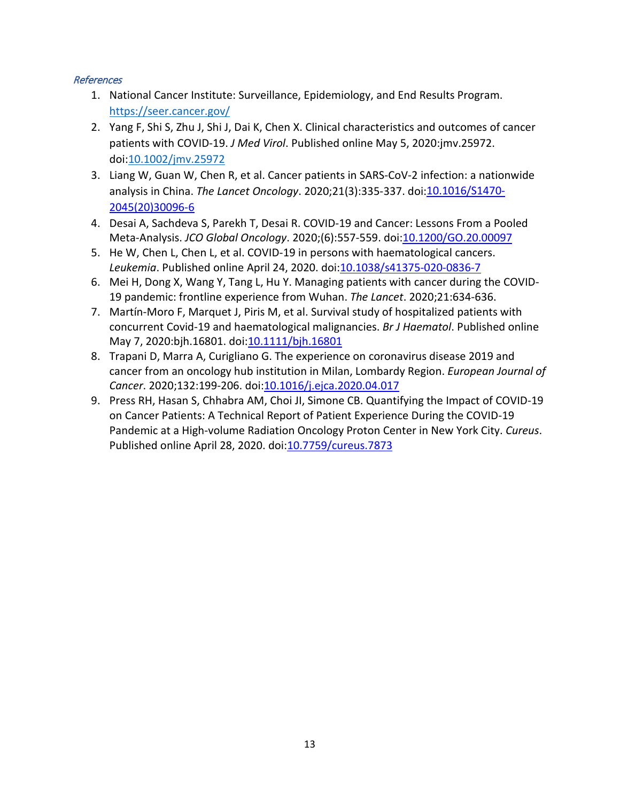# References

- 1. National Cancer Institute: Surveillance, Epidemiology, and End Results Program. <https://seer.cancer.gov/>
- 2. Yang F, Shi S, Zhu J, Shi J, Dai K, Chen X. Clinical characteristics and outcomes of cancer patients with COVID-19. *J Med Virol*. Published online May 5, 2020:jmv.25972. doi[:10.1002/jmv.25972](https://doi.org/10.1002/jmv.25972)
- 3. Liang W, Guan W, Chen R, et al. Cancer patients in SARS-CoV-2 infection: a nationwide analysis in China. *The Lancet Oncology*. 2020;21(3):335-337. doi[:10.1016/S1470-](https://doi.org/10.1016/S1470-2045(20)30096-6) [2045\(20\)30096-6](https://doi.org/10.1016/S1470-2045(20)30096-6)
- 4. Desai A, Sachdeva S, Parekh T, Desai R. COVID-19 and Cancer: Lessons From a Pooled Meta-Analysis. *JCO Global Oncology*. 2020;(6):557-559. doi[:10.1200/GO.20.00097](https://doi.org/10.1200/GO.20.00097)
- 5. He W, Chen L, Chen L, et al. COVID-19 in persons with haematological cancers. *Leukemia*. Published online April 24, 2020. doi[:10.1038/s41375-020-0836-7](https://doi.org/10.1038/s41375-020-0836-7)
- 6. Mei H, Dong X, Wang Y, Tang L, Hu Y. Managing patients with cancer during the COVID-19 pandemic: frontline experience from Wuhan. *The Lancet*. 2020;21:634-636.
- 7. Martín-Moro F, Marquet J, Piris M, et al. Survival study of hospitalized patients with concurrent Covid-19 and haematological malignancies. *Br J Haematol*. Published online May 7, 2020:bjh.16801. doi[:10.1111/bjh.16801](https://doi.org/10.1111/bjh.16801)
- 8. Trapani D, Marra A, Curigliano G. The experience on coronavirus disease 2019 and cancer from an oncology hub institution in Milan, Lombardy Region. *European Journal of Cancer*. 2020;132:199-206. doi[:10.1016/j.ejca.2020.04.017](https://doi.org/10.1016/j.ejca.2020.04.017)
- 9. Press RH, Hasan S, Chhabra AM, Choi JI, Simone CB. Quantifying the Impact of COVID-19 on Cancer Patients: A Technical Report of Patient Experience During the COVID-19 Pandemic at a High-volume Radiation Oncology Proton Center in New York City. *Cureus*. Published online April 28, 2020. doi: 10.7759/cureus. 7873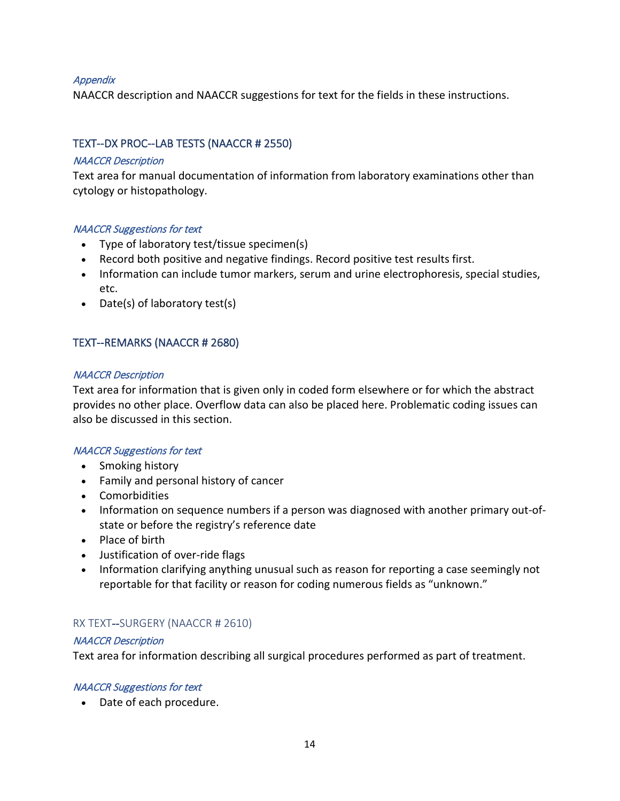### **Appendix**

NAACCR description and NAACCR suggestions for text for the fields in these instructions.

# TEXT--DX PROC--LAB TESTS (NAACCR # 2550)

### NAACCR Description

Text area for manual documentation of information from laboratory examinations other than cytology or histopathology.

### NAACCR Suggestions for text

- Type of laboratory test/tissue specimen(s)
- Record both positive and negative findings. Record positive test results first.
- Information can include tumor markers, serum and urine electrophoresis, special studies, etc.
- Date(s) of laboratory test(s)

# TEXT--REMARKS (NAACCR # 2680)

#### NAACCR Description

Text area for information that is given only in coded form elsewhere or for which the abstract provides no other place. Overflow data can also be placed here. Problematic coding issues can also be discussed in this section.

### NAACCR Suggestions for text

- Smoking history
- Family and personal history of cancer
- Comorbidities
- Information on sequence numbers if a person was diagnosed with another primary out-ofstate or before the registry's reference date
- Place of birth
- Justification of over-ride flags
- Information clarifying anything unusual such as reason for reporting a case seemingly not reportable for that facility or reason for coding numerous fields as "unknown."

# RX TEXT--SURGERY (NAACCR # 2610)

### NAACCR Description

Text area for information describing all surgical procedures performed as part of treatment.

### NAACCR Suggestions for text

• Date of each procedure.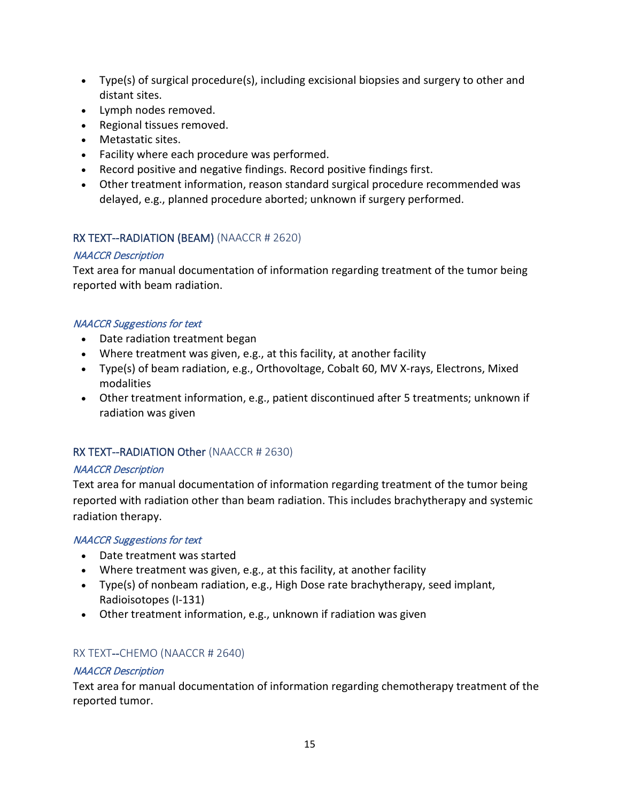- Type(s) of surgical procedure(s), including excisional biopsies and surgery to other and distant sites.
- Lymph nodes removed.
- Regional tissues removed.
- Metastatic sites.
- Facility where each procedure was performed.
- Record positive and negative findings. Record positive findings first.
- Other treatment information, reason standard surgical procedure recommended was delayed, e.g., planned procedure aborted; unknown if surgery performed.

# RX TEXT--RADIATION (BEAM) (NAACCR # 2620)

# NAACCR Description

Text area for manual documentation of information regarding treatment of the tumor being reported with beam radiation.

# NAACCR Suggestions for text

- Date radiation treatment began
- Where treatment was given, e.g., at this facility, at another facility
- Type(s) of beam radiation, e.g., Orthovoltage, Cobalt 60, MV X-rays, Electrons, Mixed modalities
- Other treatment information, e.g., patient discontinued after 5 treatments; unknown if radiation was given

# RX TEXT--RADIATION Other (NAACCR # 2630)

# NAACCR Description

Text area for manual documentation of information regarding treatment of the tumor being reported with radiation other than beam radiation. This includes brachytherapy and systemic radiation therapy.

### NAACCR Suggestions for text

- Date treatment was started
- Where treatment was given, e.g., at this facility, at another facility
- Type(s) of nonbeam radiation, e.g., High Dose rate brachytherapy, seed implant, Radioisotopes (I-131)
- Other treatment information, e.g., unknown if radiation was given

# RX TEXT--CHEMO (NAACCR # 2640)

# NAACCR Description

Text area for manual documentation of information regarding chemotherapy treatment of the reported tumor.